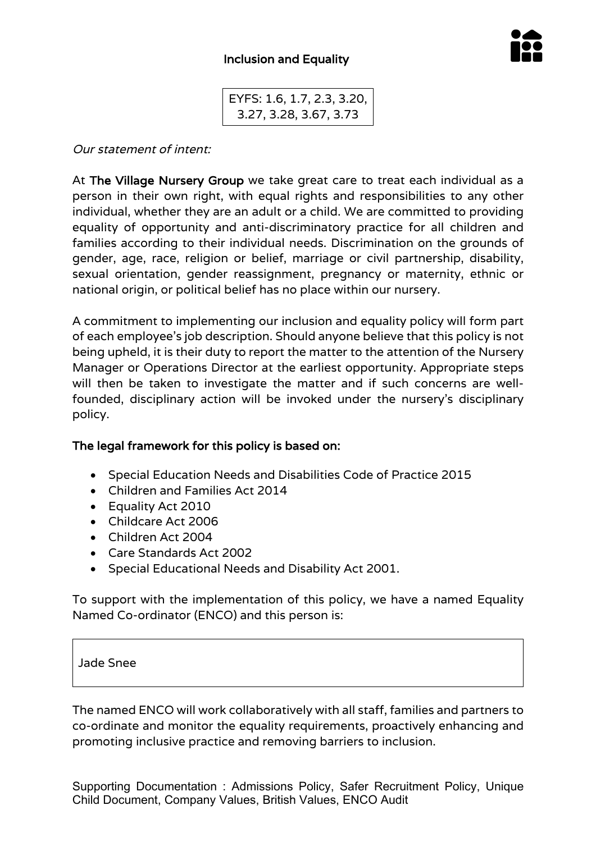

EYFS: 1.6, 1.7, 2.3, 3.20, 3.27, 3.28, 3.67, 3.73

Our statement of intent:

At The Village Nursery Group we take great care to treat each individual as a person in their own right, with equal rights and responsibilities to any other individual, whether they are an adult or a child. We are committed to providing equality of opportunity and anti-discriminatory practice for all children and families according to their individual needs. Discrimination on the grounds of gender, age, race, religion or belief, marriage or civil partnership, disability, sexual orientation, gender reassignment, pregnancy or maternity, ethnic or national origin, or political belief has no place within our nursery.

A commitment to implementing our inclusion and equality policy will form part of each employee's job description. Should anyone believe that this policy is not being upheld, it is their duty to report the matter to the attention of the Nursery Manager or Operations Director at the earliest opportunity. Appropriate steps will then be taken to investigate the matter and if such concerns are wellfounded, disciplinary action will be invoked under the nursery's disciplinary policy.

## The legal framework for this policy is based on:

- Special Education Needs and Disabilities Code of Practice 2015
- Children and Families Act 2014
- Equality Act 2010
- Childcare Act 2006
- Children Act 2004
- Care Standards Act 2002
- Special Educational Needs and Disability Act 2001.

To support with the implementation of this policy, we have a named Equality Named Co-ordinator (ENCO) and this person is:

## Jade Snee

The named ENCO will work collaboratively with all staff, families and partners to co-ordinate and monitor the equality requirements, proactively enhancing and promoting inclusive practice and removing barriers to inclusion.

Supporting Documentation : Admissions Policy, Safer Recruitment Policy, Unique Child Document, Company Values, British Values, ENCO Audit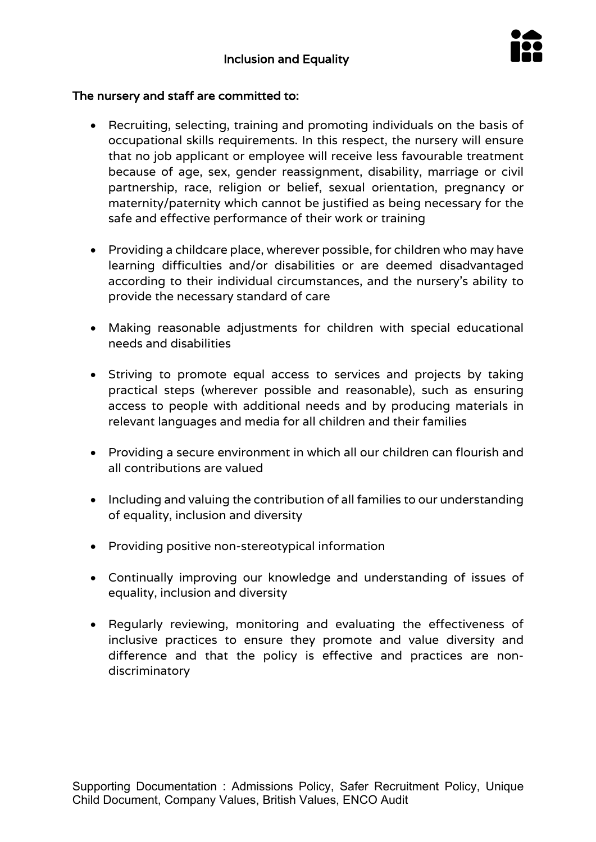

## The nursery and staff are committed to:

- Recruiting, selecting, training and promoting individuals on the basis of occupational skills requirements. In this respect, the nursery will ensure that no job applicant or employee will receive less favourable treatment because of age, sex, gender reassignment, disability, marriage or civil partnership, race, religion or belief, sexual orientation, pregnancy or maternity/paternity which cannot be justified as being necessary for the safe and effective performance of their work or training
- Providing a childcare place, wherever possible, for children who may have learning difficulties and/or disabilities or are deemed disadvantaged according to their individual circumstances, and the nursery's ability to provide the necessary standard of care
- Making reasonable adjustments for children with special educational needs and disabilities
- Striving to promote equal access to services and projects by taking practical steps (wherever possible and reasonable), such as ensuring access to people with additional needs and by producing materials in relevant languages and media for all children and their families
- Providing a secure environment in which all our children can flourish and all contributions are valued
- Including and valuing the contribution of all families to our understanding of equality, inclusion and diversity
- Providing positive non-stereotypical information
- Continually improving our knowledge and understanding of issues of equality, inclusion and diversity
- Regularly reviewing, monitoring and evaluating the effectiveness of inclusive practices to ensure they promote and value diversity and difference and that the policy is effective and practices are nondiscriminatory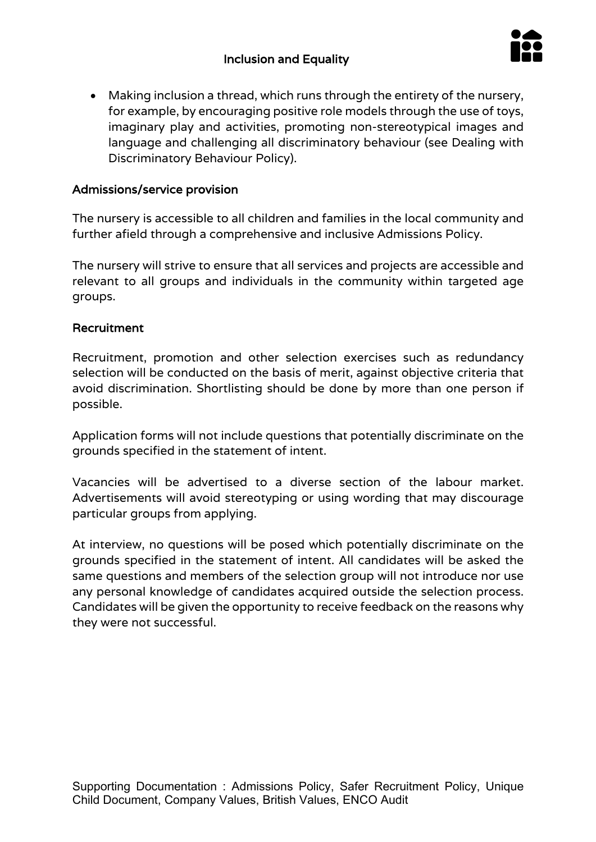

• Making inclusion a thread, which runs through the entirety of the nursery, for example, by encouraging positive role models through the use of toys, imaginary play and activities, promoting non-stereotypical images and language and challenging all discriminatory behaviour (see Dealing with Discriminatory Behaviour Policy).

# Admissions/service provision

The nursery is accessible to all children and families in the local community and further afield through a comprehensive and inclusive Admissions Policy.

The nursery will strive to ensure that all services and projects are accessible and relevant to all groups and individuals in the community within targeted age groups.

#### Recruitment

Recruitment, promotion and other selection exercises such as redundancy selection will be conducted on the basis of merit, against objective criteria that avoid discrimination. Shortlisting should be done by more than one person if possible.

Application forms will not include questions that potentially discriminate on the grounds specified in the statement of intent.

Vacancies will be advertised to a diverse section of the labour market. Advertisements will avoid stereotyping or using wording that may discourage particular groups from applying.

At interview, no questions will be posed which potentially discriminate on the grounds specified in the statement of intent. All candidates will be asked the same questions and members of the selection group will not introduce nor use any personal knowledge of candidates acquired outside the selection process. Candidates will be given the opportunity to receive feedback on the reasons why they were not successful.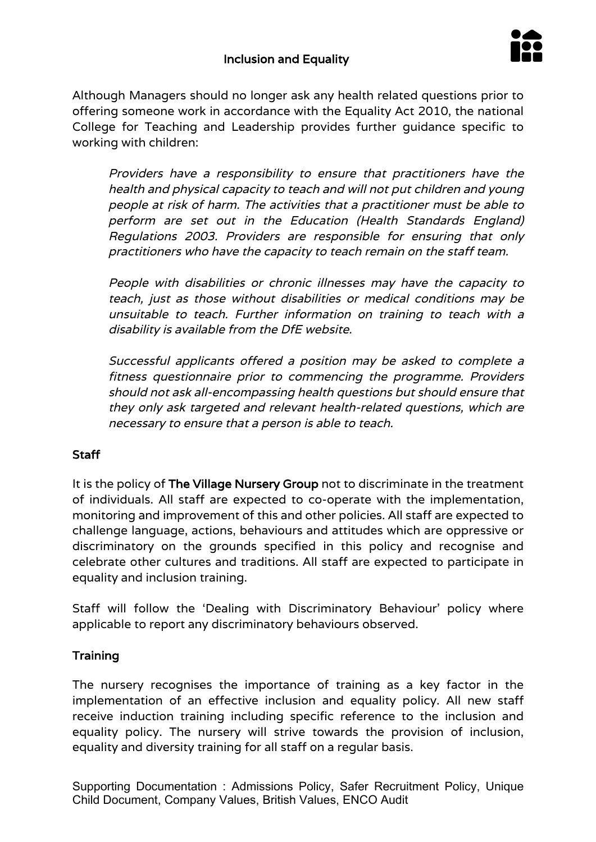

Although Managers should no longer ask any health related questions prior to offering someone work in accordance with the Equality Act 2010, the national College for Teaching and Leadership provides further guidance specific to working with children:

Providers have a responsibility to ensure that practitioners have the health and physical capacity to teach and will not put children and young people at risk of harm. The activities that a practitioner must be able to perform are set out in the Education (Health Standards England) Regulations 2003. Providers are responsible for ensuring that only practitioners who have the capacity to teach remain on the staff team.

People with disabilities or chronic illnesses may have the capacity to teach, just as those without disabilities or medical conditions may be unsuitable to teach. Further information on training to teach with a disability is available from the DfE website.

Successful applicants offered a position may be asked to complete a fitness questionnaire prior to commencing the programme. Providers should not ask all-encompassing health questions but should ensure that they only ask targeted and relevant health-related questions, which are necessary to ensure that a person is able to teach.

# Staff

It is the policy of The Village Nursery Group not to discriminate in the treatment of individuals. All staff are expected to co-operate with the implementation, monitoring and improvement of this and other policies. All staff are expected to challenge language, actions, behaviours and attitudes which are oppressive or discriminatory on the grounds specified in this policy and recognise and celebrate other cultures and traditions. All staff are expected to participate in equality and inclusion training.

Staff will follow the 'Dealing with Discriminatory Behaviour' policy where applicable to report any discriminatory behaviours observed.

# **Training**

The nursery recognises the importance of training as a key factor in the implementation of an effective inclusion and equality policy. All new staff receive induction training including specific reference to the inclusion and equality policy. The nursery will strive towards the provision of inclusion, equality and diversity training for all staff on a regular basis.

Supporting Documentation : Admissions Policy, Safer Recruitment Policy, Unique Child Document, Company Values, British Values, ENCO Audit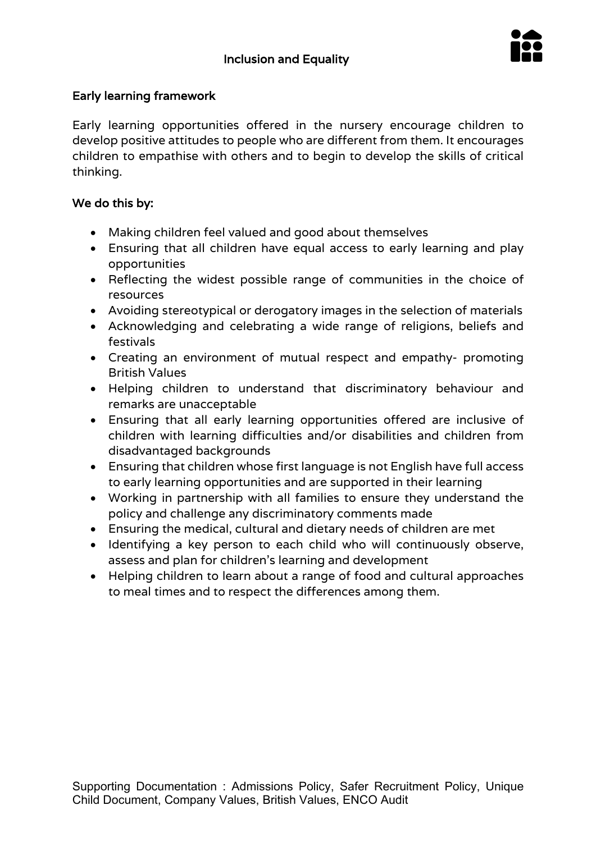

# Early learning framework

Early learning opportunities offered in the nursery encourage children to develop positive attitudes to people who are different from them. It encourages children to empathise with others and to begin to develop the skills of critical thinking.

# We do this by:

- Making children feel valued and good about themselves
- Ensuring that all children have equal access to early learning and play opportunities
- Reflecting the widest possible range of communities in the choice of resources
- Avoiding stereotypical or derogatory images in the selection of materials
- Acknowledging and celebrating a wide range of religions, beliefs and festivals
- Creating an environment of mutual respect and empathy- promoting British Values
- Helping children to understand that discriminatory behaviour and remarks are unacceptable
- Ensuring that all early learning opportunities offered are inclusive of children with learning difficulties and/or disabilities and children from disadvantaged backgrounds
- Ensuring that children whose first language is not English have full access to early learning opportunities and are supported in their learning
- Working in partnership with all families to ensure they understand the policy and challenge any discriminatory comments made
- Ensuring the medical, cultural and dietary needs of children are met
- Identifying a key person to each child who will continuously observe, assess and plan for children's learning and development
- Helping children to learn about a range of food and cultural approaches to meal times and to respect the differences among them.